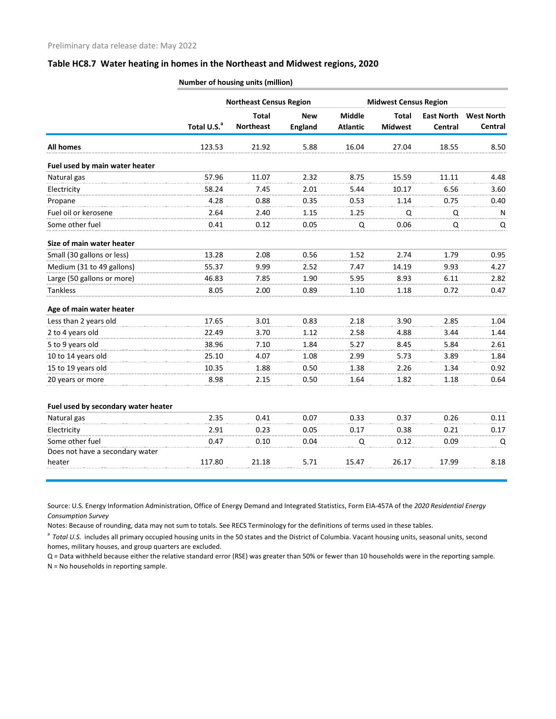## **Table HC8.7 Water heating in homes in the Northeast and Midwest regions, 2020**

|                                     | Total U.S. <sup>a</sup> | <b>Northeast Census Region</b>   |                              | <b>Midwest Census Region</b>     |                         |                              |                              |
|-------------------------------------|-------------------------|----------------------------------|------------------------------|----------------------------------|-------------------------|------------------------------|------------------------------|
|                                     |                         | <b>Total</b><br><b>Northeast</b> | <b>New</b><br><b>England</b> | <b>Middle</b><br><b>Atlantic</b> | Total<br><b>Midwest</b> | <b>East North</b><br>Central | <b>West North</b><br>Central |
| <b>All homes</b>                    | 123.53                  | 21.92                            | 5.88                         | 16.04                            | 27.04                   | 18.55                        | 8.50                         |
| Fuel used by main water heater      |                         |                                  |                              |                                  |                         |                              |                              |
| Natural gas                         | 57.96                   | 11.07                            | 2.32                         | 8.75                             | 15.59                   | 11.11                        | 4.48                         |
| Electricity                         | 58.24                   | 7.45                             | 2.01                         | 5.44                             | 10.17                   | 6.56                         | 3.60                         |
| Propane                             | 4.28                    | 0.88                             | 0.35                         | 0.53                             | 1.14                    | 0.75                         | 0.40                         |
| Fuel oil or kerosene                | 2.64                    | 2.40                             | 1.15                         | 1.25                             | Q                       | Q                            | N                            |
| Some other fuel                     | 0.41                    | 0.12                             | 0.05                         | Q                                | 0.06                    | Q                            | Q                            |
| Size of main water heater           |                         |                                  |                              |                                  |                         |                              |                              |
| Small (30 gallons or less)          | 13.28                   | 2.08                             | 0.56                         | 1.52                             | 2.74                    | 1.79                         | 0.95                         |
| Medium (31 to 49 gallons)           | 55.37                   | 9.99                             | 2.52                         | 7.47                             | 14.19                   | 9.93                         | 4.27                         |
| Large (50 gallons or more)          | 46.83                   | 7.85                             | 1.90                         | 5.95                             | 8.93                    | 6.11                         | 2.82                         |
| <b>Tankless</b>                     | 8.05                    | 2.00                             | 0.89                         | 1.10                             | 1.18                    | 0.72                         | 0.47                         |
| Age of main water heater            |                         |                                  |                              |                                  |                         |                              |                              |
| Less than 2 years old               | 17.65                   | 3.01                             | 0.83                         | 2.18                             | 3.90                    | 2.85                         | 1.04                         |
| 2 to 4 years old                    | 22.49                   | 3.70                             | 1.12                         | 2.58                             | 4.88                    | 3.44                         | 1.44                         |
| 5 to 9 years old                    | 38.96                   | 7.10                             | 1.84                         | 5.27                             | 8.45                    | 5.84                         | 2.61                         |
| 10 to 14 years old                  | 25.10                   | 4.07                             | 1.08                         | 2.99                             | 5.73                    | 3.89                         | 1.84                         |
| 15 to 19 years old                  | 10.35                   | 1.88                             | 0.50                         | 1.38                             | 2.26                    | 1.34                         | 0.92                         |
| 20 years or more                    | 8.98                    | 2.15                             | 0.50                         | 1.64                             | 1.82                    | 1.18                         | 0.64                         |
| Fuel used by secondary water heater |                         |                                  |                              |                                  |                         |                              |                              |
| Natural gas                         | 2.35                    | 0.41                             | 0.07                         | 0.33                             | 0.37                    | 0.26                         | 0.11                         |
| Electricity                         | 2.91                    | 0.23                             | 0.05                         | 0.17                             | 0.38                    | 0.21                         | 0.17                         |
| Some other fuel                     | 0.47                    | 0.10                             | 0.04                         | Q                                | 0.12                    | 0.09                         | Q                            |
| Does not have a secondary water     |                         |                                  |                              |                                  |                         |                              |                              |
| heater                              | 117.80                  | 21.18                            | 5.71                         | 15.47                            | 26.17                   | 17.99                        | 8.18                         |

**Number of housing units (million)**

Source: U.S. Energy Information Administration, Office of Energy Demand and Integrated Statistics, Form EIA-457A of the *2020 Residential Energy Consumption Survey*

Notes: Because of rounding, data may not sum to totals. See RECS Terminology for the definitions of terms used in these tables.

<sup>a</sup> Total U.S. includes all primary occupied housing units in the 50 states and the District of Columbia. Vacant housing units, seasonal units, second homes, military houses, and group quarters are excluded.

Q = Data withheld because either the relative standard error (RSE) was greater than 50% or fewer than 10 households were in the reporting sample. N = No households in reporting sample.